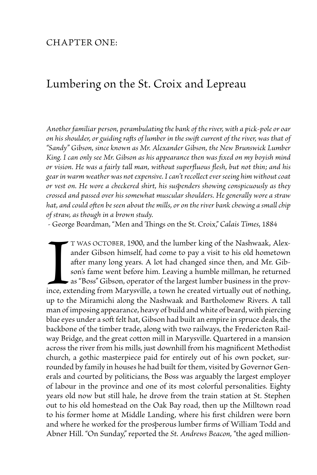## CHAPTER ONE:

## Lumbering on the St. Croix and Lepreau

*Another familiar person, perambulating the bank of the river, with a pick-pole or oar on his shoulder, or guiding rafts of lumber in the swift current of the river, was that of "Sandy" Gibson, since known as Mr. Alexander Gibson, the New Brunswick Lumber King. I can only see Mr. Gibson as his appearance then was fixed on my boyish mind or vision. He was a fairly tall man, without superfluous flesh, but not thin; and his gear in warm weather was not expensive. I can't recollect ever seeing him without coat or vest on. He wore a checkered shirt, his suspenders showing conspicuously as they crossed and passed over his somewhat muscular shoulders. He generally wore a straw hat, and could often be seen about the mills, or on the river bank chewing a small chip of straw, as though in a brown study.*

- George Boardman, "Men and Things on the St. Croix," *Calais Times*, 1884

Ince, ex<br>up to the t was October, 1900, and the lumber king of the Nashwaak, Alexander Gibson himself, had come to pay a visit to his old hometown after many long years. A lot had changed since then, and Mr. Gibson's fame went before him. Leaving a humble millman, he returned  $\bullet$  as "Boss" Gibson, operator of the largest lumber business in the province, extending from Marysville, a town he created virtually out of nothing, up to the Miramichi along the Nashwaak and Bartholomew Rivers. A tall man of imposing appearance, heavy of build and white of beard, with piercing blue eyes under a soft felt hat, Gibson had built an empire in spruce deals, the backbone of the timber trade, along with two railways, the Fredericton Railway Bridge, and the great cotton mill in Marysville. Quartered in a mansion across the river from his mills, just downhill from his magnificent Methodist church, a gothic masterpiece paid for entirely out of his own pocket, surrounded by family in houses he had built for them, visited by Governor Generals and courted by politicians, the Boss was arguably the largest employer of labour in the province and one of its most colorful personalities. Eighty years old now but still hale, he drove from the train station at St. Stephen out to his old homestead on the Oak Bay road, then up the Milltown road to his former home at Middle Landing, where his first children were born and where he worked for the prosperous lumber firms of William Todd and Abner Hill. "On Sunday," reported the *St. Andrews Beacon,* "the aged million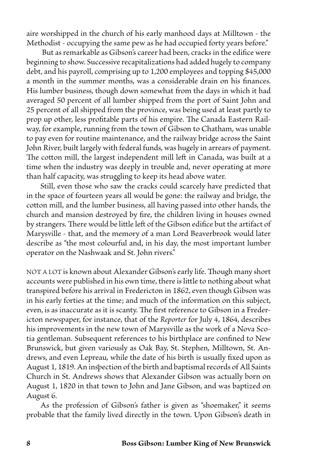aire worshipped in the church of his early manhood days at Milltown - the Methodist - occupying the same pew as he had occupied forty years before."

 But as remarkable as Gibson's career had been, cracks in the edifice were beginning to show. Successive recapitalizations had added hugely to company debt, and his payroll, comprising up to 1,200 employees and topping \$45,000 a month in the summer months, was a considerable drain on his finances. His lumber business, though down somewhat from the days in which it had averaged 50 percent of all lumber shipped from the port of Saint John and 25 percent of all shipped from the province, was being used at least partly to prop up other, less profitable parts of his empire. The Canada Eastern Railway, for example, running from the town of Gibson to Chatham, was unable to pay even for routine maintenance, and the railway bridge across the Saint John River, built largely with federal funds, was hugely in arrears of payment. The cotton mill, the largest independent mill left in Canada, was built at a time when the industry was deeply in trouble and, never operating at more than half capacity, was struggling to keep its head above water.

Still, even those who saw the cracks could scarcely have predicted that in the space of fourteen years all would be gone: the railway and bridge, the cotton mill, and the lumber business, all having passed into other hands, the church and mansion destroyed by fire, the children living in houses owned by strangers. There would be little left of the Gibson edifice but the artifact of Marysville - that, and the memory of a man Lord Beaverbrook would later describe as "the most colourful and, in his day, the most important lumber operator on the Nashwaak and St. John rivers."

NOT A LOT is known about Alexander Gibson's early life. Though many short accounts were published in his own time, there is little to nothing about what transpired before his arrival in Fredericton in 1862, even though Gibson was in his early forties at the time; and much of the information on this subject, even, is as inaccurate as it is scanty. The first reference to Gibson in a Fredericton newspaper, for instance, that of the *Reporter* for July 4, 1864, describes his improvements in the new town of Marysville as the work of a Nova Scotia gentleman. Subsequent references to his birthplace are confined to New Brunswick, but given variously as Oak Bay, St. Stephen, Milltown, St. Andrews, and even Lepreau, while the date of his birth is usually fixed upon as August 1, 1819. An inspection of the birth and baptismal records of All Saints Church in St. Andrews shows that Alexander Gibson was actually born on August 1, 1820 in that town to John and Jane Gibson, and was baptized on August 6.

As the profession of Gibson's father is given as "shoemaker," it seems probable that the family lived directly in the town. Upon Gibson's death in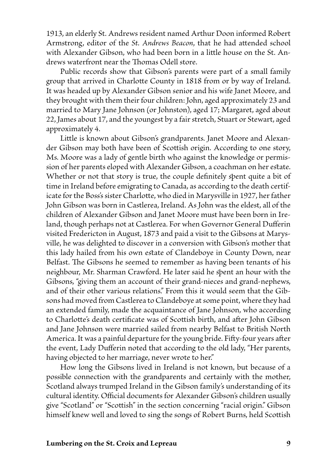1913, an elderly St. Andrews resident named Arthur Doon informed Robert Armstrong, editor of the *St. Andrews Beacon*, that he had attended school with Alexander Gibson, who had been born in a little house on the St. Andrews waterfront near the Thomas Odell store.

Public records show that Gibson's parents were part of a small family group that arrived in Charlotte County in 1818 from or by way of Ireland. It was headed up by Alexander Gibson senior and his wife Janet Moore, and they brought with them their four children: John, aged approximately 23 and married to Mary Jane Johnson (or Johnston), aged 17; Margaret, aged about 22, James about 17, and the youngest by a fair stretch, Stuart or Stewart, aged approximately 4.

Little is known about Gibson's grandparents. Janet Moore and Alexander Gibson may both have been of Scottish origin. According to one story, Ms. Moore was a lady of gentle birth who against the knowledge or permission of her parents eloped with Alexander Gibson, a coachman on her estate. Whether or not that story is true, the couple definitely spent quite a bit of time in Ireland before emigrating to Canada, as according to the death certificate for the Boss's sister Charlotte, who died in Marysville in 1927, her father John Gibson was born in Castlerea, Ireland. As John was the eldest, all of the children of Alexander Gibson and Janet Moore must have been born in Ireland, though perhaps not at Castlerea. For when Governor General Dufferin visited Fredericton in August, 1873 and paid a visit to the Gibsons at Marysville, he was delighted to discover in a conversion with Gibson's mother that this lady hailed from his own estate of Clandeboye in County Down, near Belfast. The Gibsons he seemed to remember as having been tenants of his neighbour, Mr. Sharman Crawford. He later said he spent an hour with the Gibsons, "giving them an account of their grand-nieces and grand-nephews, and of their other various relations." From this it would seem that the Gibsons had moved from Castlerea to Clandeboye at some point, where they had an extended family, made the acquaintance of Jane Johnson, who according to Charlotte's death certificate was of Scottish birth, and after John Gibson and Jane Johnson were married sailed from nearby Belfast to British North America. It was a painful departure for the young bride. Fifty-four years after the event, Lady Dufferin noted that according to the old lady, "Her parents, having objected to her marriage, never wrote to her."

How long the Gibsons lived in Ireland is not known, but because of a possible connection with the grandparents and certainly with the mother, Scotland always trumped Ireland in the Gibson family's understanding of its cultural identity. Official documents for Alexander Gibson's children usually give "Scotland" or "Scottish" in the section concerning "racial origin." Gibson himself knew well and loved to sing the songs of Robert Burns, held Scottish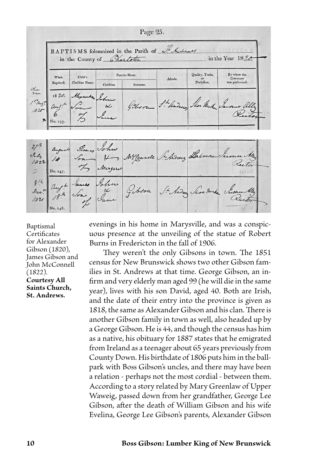|            | BAPTISMS folemnized in the Parish of Indiana |                 |               |          |                  |                       |                         |
|------------|----------------------------------------------|-----------------|---------------|----------|------------------|-----------------------|-------------------------|
|            | in the County of Chartotte                   |                 |               |          | in the Year 1824 |                       |                         |
|            |                                              |                 |               |          |                  |                       |                         |
|            | When                                         | Child's         | Parents Name. |          | Abode.           | Quality, Trade,<br>or | By whom the<br>Ceremony |
|            | Baptized.                                    | Chriftian Name. | Chriftian.    | Surname. |                  | Profeffion.           | was performed.          |
|            | 1820.                                        | Hyante John     |               |          |                  |                       |                         |
| $1.4$ aug? | aul!                                         |                 |               |          | S. - hadres      | The Make Jerome       |                         |
| 1020       |                                              |                 |               |          |                  |                       |                         |

Florence Se Awrens Labo Sela Mª Councile  $\overline{a}$  $1022$ Rector No. 247. . a 44.  $814$  $102$ 

Baptismal **Certificates** for Alexander Gibson (1820), James Gibson and John McConnell (1822). **Courtesy All Saints Church, St. Andrews.**

evenings in his home in Marysville, and was a conspicuous presence at the unveiling of the statue of Robert Burns in Fredericton in the fall of 1906.

They weren't the only Gibsons in town. The 1851 census for New Brunswick shows two other Gibson families in St. Andrews at that time. George Gibson, an infirm and very elderly man aged 99 (he will die in the same year), lives with his son David, aged 40. Both are Irish, and the date of their entry into the province is given as 1818, the same as Alexander Gibson and his clan. There is another Gibson family in town as well, also headed up by a George Gibson. He is 44, and though the census has him as a native, his obituary for 1887 states that he emigrated from Ireland as a teenager about 65 years previously from County Down. His birthdate of 1806 puts him in the ballpark with Boss Gibson's uncles, and there may have been a relation - perhaps not the most cordial - between them. According to a story related by Mary Greenlaw of Upper Waweig, passed down from her grandfather, George Lee Gibson, after the death of William Gibson and his wife Evelina, George Lee Gibson's parents, Alexander Gibson